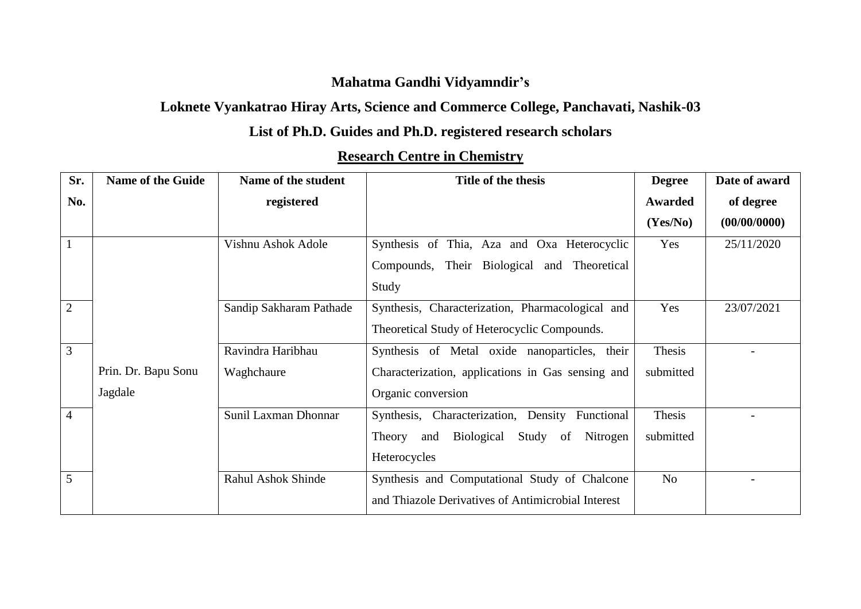### **Mahatma Gandhi Vidyamndir's**

### **Loknete Vyankatrao Hiray Arts, Science and Commerce College, Panchavati, Nashik-03**

### **List of Ph.D. Guides and Ph.D. registered research scholars**

| Sr.            | <b>Name of the Guide</b> | Name of the student     | Title of the thesis                                 | <b>Degree</b> | Date of award |
|----------------|--------------------------|-------------------------|-----------------------------------------------------|---------------|---------------|
| No.            |                          | registered              |                                                     | Awarded       | of degree     |
|                |                          |                         |                                                     | (Yes/No)      | (00/00/0000)  |
| $\mathbf{1}$   |                          | Vishnu Ashok Adole      | Synthesis of Thia, Aza and Oxa Heterocyclic         | Yes           | 25/11/2020    |
|                |                          |                         | Compounds, Their Biological and Theoretical         |               |               |
|                |                          |                         | Study                                               |               |               |
| $\overline{2}$ |                          | Sandip Sakharam Pathade | Synthesis, Characterization, Pharmacological and    | Yes           | 23/07/2021    |
|                |                          |                         | Theoretical Study of Heterocyclic Compounds.        |               |               |
| 3              |                          | Ravindra Haribhau       | Synthesis of Metal oxide nanoparticles, their       | Thesis        |               |
|                | Prin. Dr. Bapu Sonu      | Waghchaure              | Characterization, applications in Gas sensing and   | submitted     |               |
|                | Jagdale                  |                         | Organic conversion                                  |               |               |
| $\overline{4}$ |                          | Sunil Laxman Dhonnar    | Synthesis, Characterization, Density Functional     | Thesis        |               |
|                |                          |                         | Biological<br>Study of<br>Nitrogen<br>Theory<br>and | submitted     |               |
|                |                          |                         | Heterocycles                                        |               |               |
| 5              |                          | Rahul Ashok Shinde      | Synthesis and Computational Study of Chalcone       | No            |               |
|                |                          |                         | and Thiazole Derivatives of Antimicrobial Interest  |               |               |

### **Research Centre in Chemistry**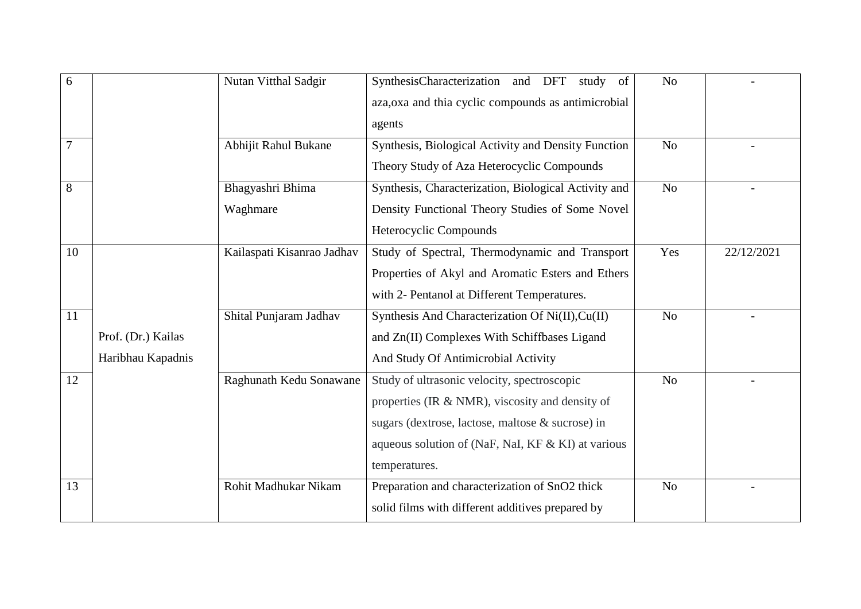| 6              |                                         | Nutan Vitthal Sadgir         | SynthesisCharacterization and DFT<br>study of<br>aza, oxa and thia cyclic compounds as antimicrobial<br>agents                                                                                                            | N <sub>o</sub> |            |
|----------------|-----------------------------------------|------------------------------|---------------------------------------------------------------------------------------------------------------------------------------------------------------------------------------------------------------------------|----------------|------------|
| $\overline{7}$ |                                         | Abhijit Rahul Bukane         | Synthesis, Biological Activity and Density Function<br>Theory Study of Aza Heterocyclic Compounds                                                                                                                         | N <sub>o</sub> |            |
| 8              |                                         | Bhagyashri Bhima<br>Waghmare | Synthesis, Characterization, Biological Activity and<br>Density Functional Theory Studies of Some Novel<br>Heterocyclic Compounds                                                                                         | N <sub>o</sub> |            |
| 10             |                                         | Kailaspati Kisanrao Jadhav   | Study of Spectral, Thermodynamic and Transport<br>Properties of Akyl and Aromatic Esters and Ethers<br>with 2- Pentanol at Different Temperatures.                                                                        | Yes            | 22/12/2021 |
| 11             | Prof. (Dr.) Kailas<br>Haribhau Kapadnis | Shital Punjaram Jadhav       | Synthesis And Characterization Of Ni(II), Cu(II)<br>and Zn(II) Complexes With Schiffbases Ligand<br>And Study Of Antimicrobial Activity                                                                                   | N <sub>o</sub> |            |
| 12             |                                         | Raghunath Kedu Sonawane      | Study of ultrasonic velocity, spectroscopic<br>properties (IR & NMR), viscosity and density of<br>sugars (dextrose, lactose, maltose & sucrose) in<br>aqueous solution of (NaF, NaI, KF & KI) at various<br>temperatures. | N <sub>o</sub> |            |
| 13             |                                         | Rohit Madhukar Nikam         | Preparation and characterization of SnO2 thick<br>solid films with different additives prepared by                                                                                                                        | N <sub>o</sub> |            |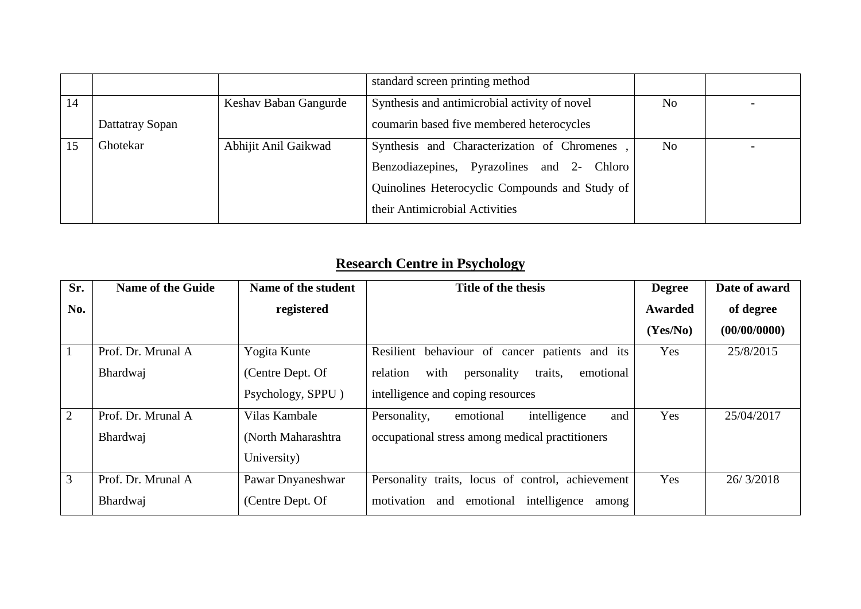|    |                 |                       | standard screen printing method                |                |  |
|----|-----------------|-----------------------|------------------------------------------------|----------------|--|
| 14 |                 | Keshav Baban Gangurde | Synthesis and antimicrobial activity of novel  | N <sub>o</sub> |  |
|    | Dattatray Sopan |                       | coumarin based five membered heterocycles      |                |  |
|    | Ghotekar        | Abhijit Anil Gaikwad  | Synthesis and Characterization of Chromenes,   | N <sub>o</sub> |  |
|    |                 |                       | Benzodiazepines, Pyrazolines and 2- Chloro     |                |  |
|    |                 |                       | Quinolines Heterocyclic Compounds and Study of |                |  |
|    |                 |                       | their Antimicrobial Activities                 |                |  |

# **Research Centre in Psychology**

| Sr.            | <b>Name of the Guide</b> | Name of the student | <b>Title of the thesis</b>                              | <b>Degree</b> | Date of award |
|----------------|--------------------------|---------------------|---------------------------------------------------------|---------------|---------------|
| No.            |                          | registered          |                                                         | Awarded       | of degree     |
|                |                          |                     |                                                         | (Yes/No)      | (00/00/0000)  |
| $\mathbf{1}$   | Prof. Dr. Mrunal A       | Yogita Kunte        | Resilient behaviour of cancer patients and its          | Yes           | 25/8/2015     |
|                | Bhardwaj                 | (Centre Dept. Of    | with<br>emotional<br>relation<br>personality<br>traits, |               |               |
|                |                          | Psychology, SPPU)   | intelligence and coping resources                       |               |               |
| $\overline{2}$ | Prof. Dr. Mrunal A       | Vilas Kambale       | intelligence<br>emotional<br>Personality,<br>and        | Yes           | 25/04/2017    |
|                | Bhardwaj                 | (North Maharashtra) | occupational stress among medical practitioners         |               |               |
|                |                          | University)         |                                                         |               |               |
| 3              | Prof. Dr. Mrunal A       | Pawar Dnyaneshwar   | Personality traits, locus of control, achievement       | Yes           | 26/3/2018     |
|                | Bhardwaj                 | (Centre Dept. Of    | intelligence<br>motivation<br>emotional<br>and<br>among |               |               |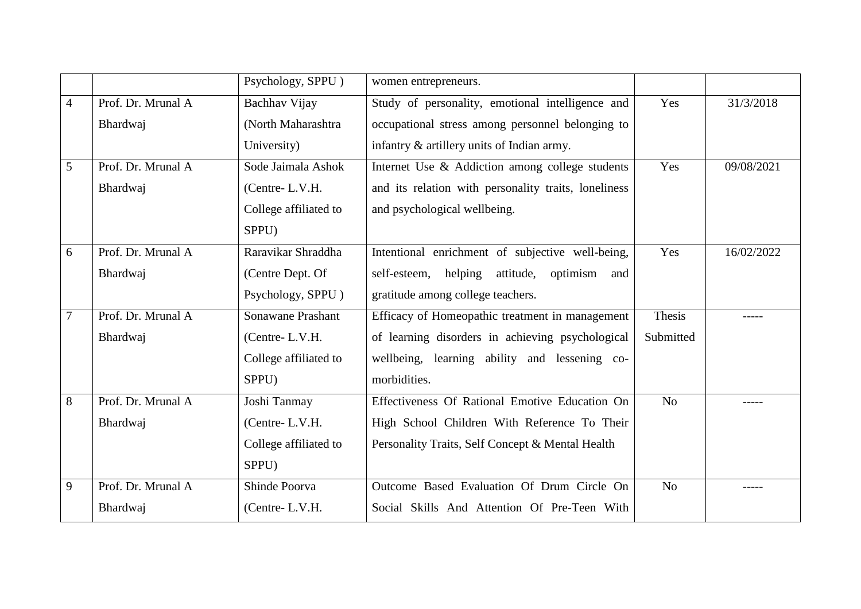|                |                    | Psychology, SPPU)        | women entrepreneurs.                                 |           |            |
|----------------|--------------------|--------------------------|------------------------------------------------------|-----------|------------|
| $\overline{4}$ | Prof. Dr. Mrunal A | Bachhav Vijay            | Study of personality, emotional intelligence and     | Yes       | 31/3/2018  |
|                | Bhardwaj           | (North Maharashtra)      | occupational stress among personnel belonging to     |           |            |
|                |                    | University)              | infantry & artillery units of Indian army.           |           |            |
| 5              | Prof. Dr. Mrunal A | Sode Jaimala Ashok       | Internet Use & Addiction among college students      | Yes       | 09/08/2021 |
|                | Bhardwaj           | (Centre-L.V.H.           | and its relation with personality traits, loneliness |           |            |
|                |                    | College affiliated to    | and psychological wellbeing.                         |           |            |
|                |                    | SPPU)                    |                                                      |           |            |
| 6              | Prof. Dr. Mrunal A | Raravikar Shraddha       | Intentional enrichment of subjective well-being,     | Yes       | 16/02/2022 |
|                | Bhardwaj           | (Centre Dept. Of         | self-esteem, helping<br>attitude, optimism and       |           |            |
|                |                    | Psychology, SPPU)        | gratitude among college teachers.                    |           |            |
| $\overline{7}$ | Prof. Dr. Mrunal A | <b>Sonawane Prashant</b> | Efficacy of Homeopathic treatment in management      | Thesis    |            |
|                | Bhardwaj           | (Centre-L.V.H.           | of learning disorders in achieving psychological     | Submitted |            |
|                |                    | College affiliated to    | wellbeing, learning ability and lessening co-        |           |            |
|                |                    | SPPU)                    | morbidities.                                         |           |            |
| 8              | Prof. Dr. Mrunal A | Joshi Tanmay             | Effectiveness Of Rational Emotive Education On       | No        |            |
|                | Bhardwaj           | (Centre-L.V.H.           | High School Children With Reference To Their         |           |            |
|                |                    | College affiliated to    | Personality Traits, Self Concept & Mental Health     |           |            |
|                |                    | SPPU)                    |                                                      |           |            |
| 9              | Prof. Dr. Mrunal A | Shinde Poorva            | Outcome Based Evaluation Of Drum Circle On           | No        |            |
|                | Bhardwaj           | (Centre-L.V.H.           | Social Skills And Attention Of Pre-Teen With         |           |            |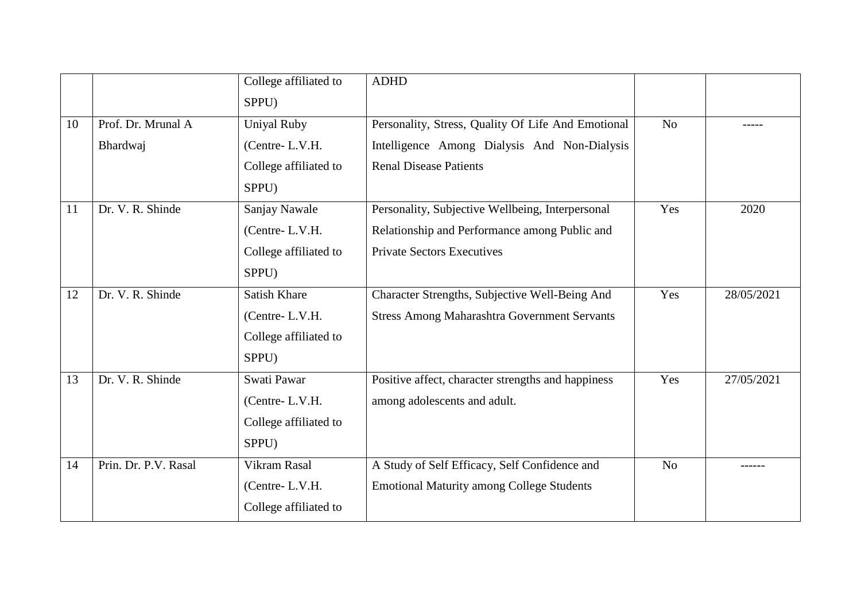|    |                                | College affiliated to<br>SPPU)                                          | <b>ADHD</b>                                                                                                                            |                |            |
|----|--------------------------------|-------------------------------------------------------------------------|----------------------------------------------------------------------------------------------------------------------------------------|----------------|------------|
| 10 | Prof. Dr. Mrunal A<br>Bhardwaj | <b>Uniyal Ruby</b><br>(Centre-L.V.H.<br>College affiliated to<br>SPPU)  | Personality, Stress, Quality Of Life And Emotional<br>Intelligence Among Dialysis And Non-Dialysis<br><b>Renal Disease Patients</b>    | No             |            |
| 11 | Dr. V. R. Shinde               | Sanjay Nawale<br>(Centre-L.V.H.<br>College affiliated to<br>SPPU)       | Personality, Subjective Wellbeing, Interpersonal<br>Relationship and Performance among Public and<br><b>Private Sectors Executives</b> | Yes            | 2020       |
| 12 | Dr. V. R. Shinde               | <b>Satish Khare</b><br>(Centre-L.V.H.<br>College affiliated to<br>SPPU) | Character Strengths, Subjective Well-Being And<br><b>Stress Among Maharashtra Government Servants</b>                                  | Yes            | 28/05/2021 |
| 13 | Dr. V. R. Shinde               | Swati Pawar<br>(Centre-L.V.H.<br>College affiliated to<br>SPPU)         | Positive affect, character strengths and happiness<br>among adolescents and adult.                                                     | Yes            | 27/05/2021 |
| 14 | Prin. Dr. P.V. Rasal           | Vikram Rasal<br>(Centre-L.V.H.<br>College affiliated to                 | A Study of Self Efficacy, Self Confidence and<br><b>Emotional Maturity among College Students</b>                                      | N <sub>o</sub> |            |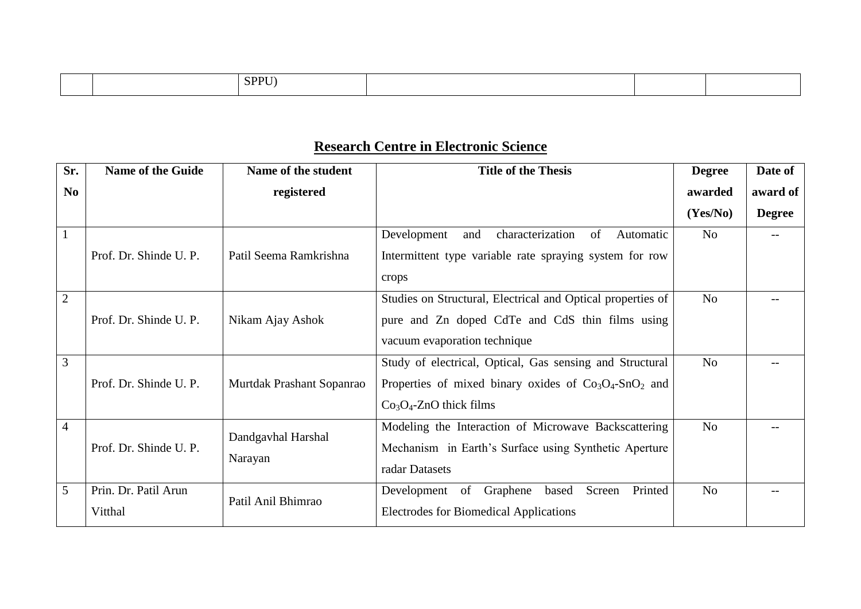| SPPU) |  |
|-------|--|
|-------|--|

# **Research Centre in Electronic Science**

| Sr.            | <b>Name of the Guide</b> | Name of the student       | <b>Title of the Thesis</b>                                         | <b>Degree</b> | Date of       |
|----------------|--------------------------|---------------------------|--------------------------------------------------------------------|---------------|---------------|
| N <sub>0</sub> |                          | registered                |                                                                    | awarded       | award of      |
|                |                          |                           |                                                                    | (Yes/No)      | <b>Degree</b> |
| $\boxed{1}$    |                          |                           | characterization<br>of<br>Development<br>and<br>Automatic          | No            |               |
|                | Prof. Dr. Shinde U. P.   | Patil Seema Ramkrishna    | Intermittent type variable rate spraying system for row            |               |               |
|                |                          |                           | crops                                                              |               |               |
| $\overline{2}$ |                          |                           | Studies on Structural, Electrical and Optical properties of        | No            |               |
|                | Prof. Dr. Shinde U. P.   | Nikam Ajay Ashok          | pure and Zn doped CdTe and CdS thin films using                    |               |               |
|                |                          |                           | vacuum evaporation technique                                       |               |               |
| $\overline{3}$ |                          |                           | Study of electrical, Optical, Gas sensing and Structural           | No            |               |
|                | Prof. Dr. Shinde U. P.   | Murtdak Prashant Sopanrao | Properties of mixed binary oxides of $Co3O4$ -SnO <sub>2</sub> and |               |               |
|                |                          |                           | $Co3O4$ -ZnO thick films                                           |               |               |
| $\overline{4}$ |                          | Dandgavhal Harshal        | Modeling the Interaction of Microwave Backscattering               | No            |               |
|                | Prof. Dr. Shinde U. P.   |                           | Mechanism in Earth's Surface using Synthetic Aperture              |               |               |
|                | Narayan                  |                           | radar Datasets                                                     |               |               |
| $\overline{5}$ | Prin. Dr. Patil Arun     | Patil Anil Bhimrao        | Printed<br>Development of Graphene<br>Screen<br>based              | No            |               |
|                | Vitthal                  |                           | <b>Electrodes for Biomedical Applications</b>                      |               |               |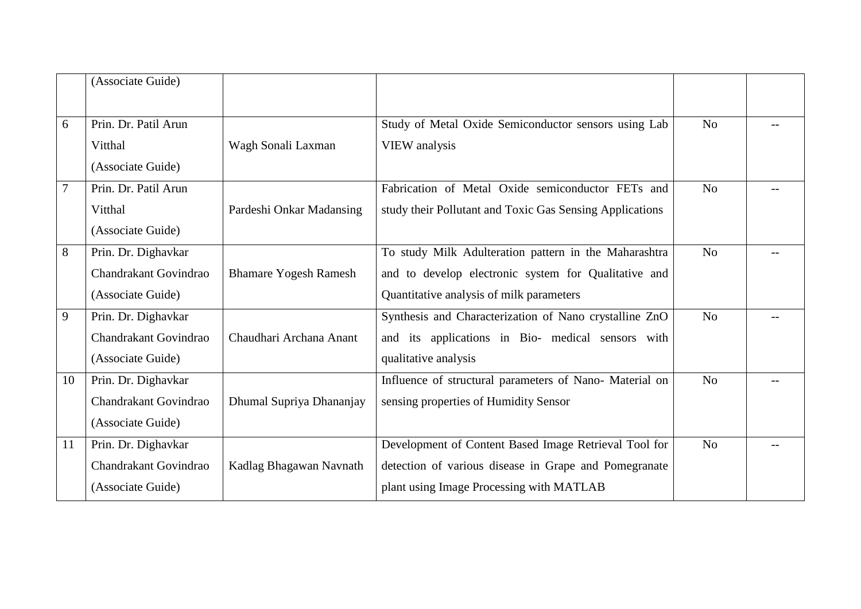|                | (Associate Guide)                                                 |                              |                                                                                                                                                            |                |  |
|----------------|-------------------------------------------------------------------|------------------------------|------------------------------------------------------------------------------------------------------------------------------------------------------------|----------------|--|
| 6              | Prin. Dr. Patil Arun<br>Vitthal<br>(Associate Guide)              | Wagh Sonali Laxman           | Study of Metal Oxide Semiconductor sensors using Lab<br>VIEW analysis                                                                                      | N <sub>o</sub> |  |
| $\overline{7}$ | Prin. Dr. Patil Arun<br>Vitthal<br>(Associate Guide)              | Pardeshi Onkar Madansing     | Fabrication of Metal Oxide semiconductor FETs and<br>study their Pollutant and Toxic Gas Sensing Applications                                              | N <sub>o</sub> |  |
| 8              | Prin. Dr. Dighavkar<br>Chandrakant Govindrao<br>(Associate Guide) | <b>Bhamare Yogesh Ramesh</b> | To study Milk Adulteration pattern in the Maharashtra<br>and to develop electronic system for Qualitative and<br>Quantitative analysis of milk parameters  | N <sub>o</sub> |  |
| 9              | Prin. Dr. Dighavkar<br>Chandrakant Govindrao<br>(Associate Guide) | Chaudhari Archana Anant      | Synthesis and Characterization of Nano crystalline ZnO<br>and its applications in Bio- medical sensors with<br>qualitative analysis                        | No             |  |
| 10             | Prin. Dr. Dighavkar<br>Chandrakant Govindrao<br>(Associate Guide) | Dhumal Supriya Dhananjay     | Influence of structural parameters of Nano- Material on<br>sensing properties of Humidity Sensor                                                           | No             |  |
| 11             | Prin. Dr. Dighavkar<br>Chandrakant Govindrao<br>(Associate Guide) | Kadlag Bhagawan Navnath      | Development of Content Based Image Retrieval Tool for<br>detection of various disease in Grape and Pomegranate<br>plant using Image Processing with MATLAB | N <sub>o</sub> |  |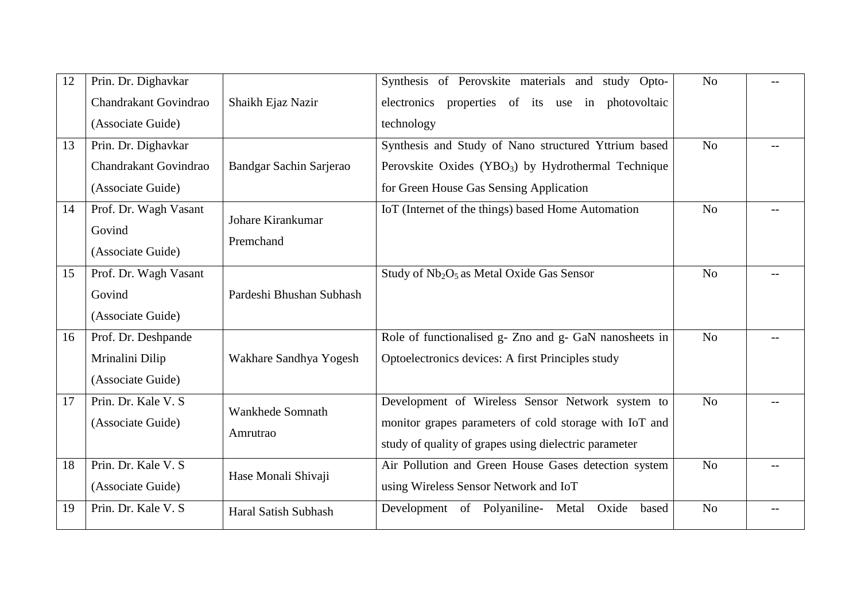| Prin. Dr. Dighavkar   |                          | Synthesis of Perovskite materials and study Opto-                                     | N <sub>o</sub> |  |
|-----------------------|--------------------------|---------------------------------------------------------------------------------------|----------------|--|
| Chandrakant Govindrao | Shaikh Ejaz Nazir        | electronics properties of its use in photovoltaic                                     |                |  |
| (Associate Guide)     |                          | technology                                                                            |                |  |
| Prin. Dr. Dighavkar   |                          | Synthesis and Study of Nano structured Yttrium based                                  | N <sub>o</sub> |  |
| Chandrakant Govindrao | Bandgar Sachin Sarjerao  | Perovskite Oxides (YBO <sub>3</sub> ) by Hydrothermal Technique                       |                |  |
| (Associate Guide)     |                          | for Green House Gas Sensing Application                                               |                |  |
| Prof. Dr. Wagh Vasant |                          | IoT (Internet of the things) based Home Automation                                    | N <sub>o</sub> |  |
| Govind                |                          |                                                                                       |                |  |
| (Associate Guide)     |                          |                                                                                       |                |  |
| Prof. Dr. Wagh Vasant |                          | Study of Nb <sub>2</sub> O <sub>5</sub> as Metal Oxide Gas Sensor                     | N <sub>o</sub> |  |
| Govind                | Pardeshi Bhushan Subhash |                                                                                       |                |  |
| (Associate Guide)     |                          |                                                                                       |                |  |
| Prof. Dr. Deshpande   |                          | Role of functionalised g- Zno and g- GaN nanosheets in                                | N <sub>o</sub> |  |
| Mrinalini Dilip       | Wakhare Sandhya Yogesh   | Optoelectronics devices: A first Principles study                                     |                |  |
| (Associate Guide)     |                          |                                                                                       |                |  |
| Prin. Dr. Kale V. S   |                          | Development of Wireless Sensor Network system to                                      | No             |  |
| (Associate Guide)     |                          | monitor grapes parameters of cold storage with IoT and                                |                |  |
|                       |                          | study of quality of grapes using dielectric parameter                                 |                |  |
| Prin. Dr. Kale V. S.  |                          | Air Pollution and Green House Gases detection system                                  | No             |  |
| (Associate Guide)     |                          | using Wireless Sensor Network and IoT                                                 |                |  |
| Prin. Dr. Kale V. S.  | Haral Satish Subhash     | Development of Polyaniline-<br>Metal<br>Oxide<br>based                                | N <sub>o</sub> |  |
|                       |                          | Johare Kirankumar<br>Premchand<br>Wankhede Somnath<br>Amrutrao<br>Hase Monali Shivaji |                |  |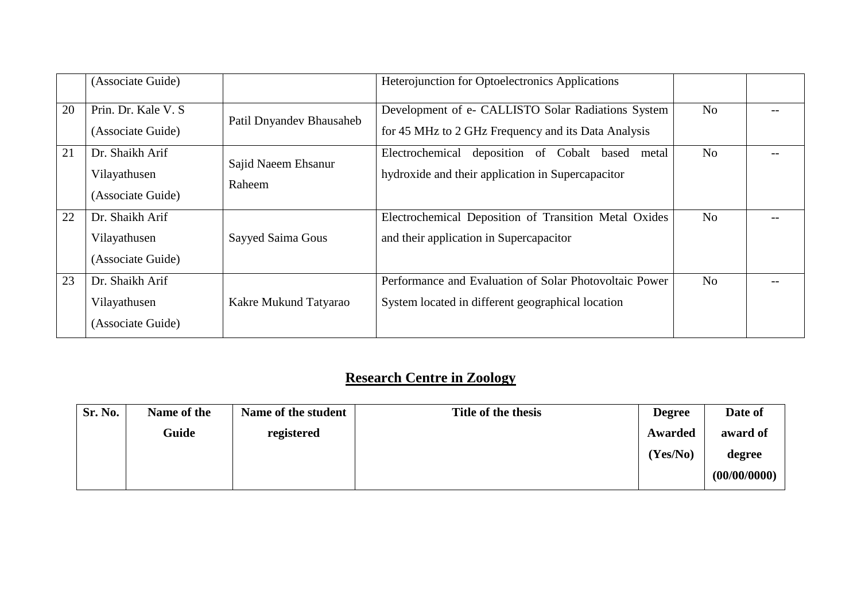|    | (Associate Guide)                                    |                               | Heterojunction for Optoelectronics Applications                                                             |    |  |
|----|------------------------------------------------------|-------------------------------|-------------------------------------------------------------------------------------------------------------|----|--|
| 20 | Prin. Dr. Kale V. S.<br>(Associate Guide)            | Patil Dnyandev Bhausaheb      | Development of e- CALLISTO Solar Radiations System<br>for 45 MHz to 2 GHz Frequency and its Data Analysis   | No |  |
| 21 | Dr. Shaikh Arif<br>Vilayathusen<br>(Associate Guide) | Sajid Naeem Ehsanur<br>Raheem | deposition of Cobalt based<br>Electrochemical<br>metal<br>hydroxide and their application in Supercapacitor | No |  |
| 22 | Dr. Shaikh Arif<br>Vilayathusen<br>(Associate Guide) | Sayyed Saima Gous             | Electrochemical Deposition of Transition Metal Oxides<br>and their application in Supercapacitor            | No |  |
| 23 | Dr. Shaikh Arif<br>Vilayathusen<br>(Associate Guide) | Kakre Mukund Tatyarao         | Performance and Evaluation of Solar Photovoltaic Power<br>System located in different geographical location | No |  |

# **Research Centre in Zoology**

| Sr. No. | Name of the | Name of the student | Title of the thesis | <b>Degree</b> | Date of      |
|---------|-------------|---------------------|---------------------|---------------|--------------|
|         | Guide       | registered          |                     | Awarded       | award of     |
|         |             |                     |                     | (Yes/No)      | degree       |
|         |             |                     |                     |               | (00/00/0000) |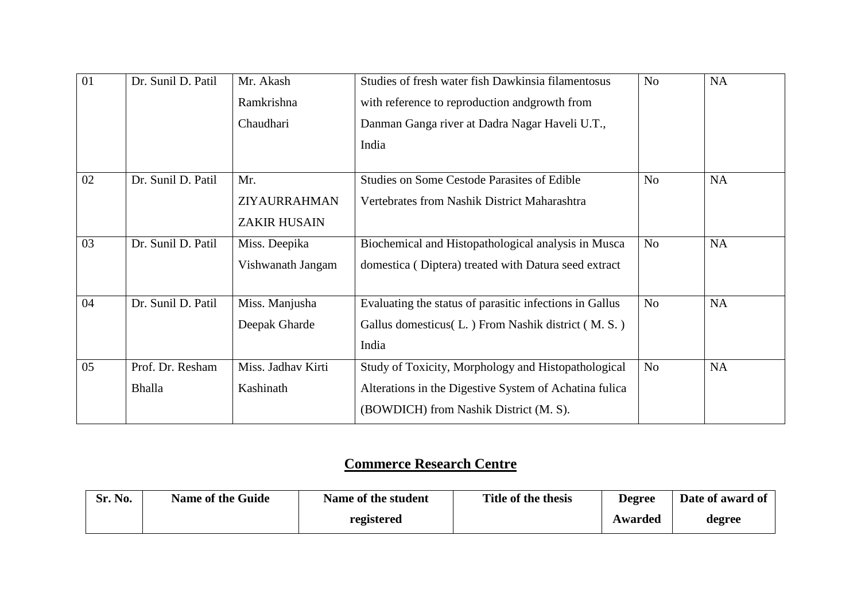| 01 | Dr. Sunil D. Patil | Mr. Akash           | Studies of fresh water fish Dawkinsia filamentosus      | N <sub>o</sub> | <b>NA</b> |
|----|--------------------|---------------------|---------------------------------------------------------|----------------|-----------|
|    |                    | Ramkrishna          | with reference to reproduction and growth from          |                |           |
|    |                    | Chaudhari           | Danman Ganga river at Dadra Nagar Haveli U.T.,          |                |           |
|    |                    |                     | India                                                   |                |           |
| 02 | Dr. Sunil D. Patil | Mr.                 | <b>Studies on Some Cestode Parasites of Edible</b>      | N <sub>o</sub> | <b>NA</b> |
|    |                    | ZIYAURRAHMAN        | Vertebrates from Nashik District Maharashtra            |                |           |
|    |                    | <b>ZAKIR HUSAIN</b> |                                                         |                |           |
| 03 | Dr. Sunil D. Patil | Miss. Deepika       | Biochemical and Histopathological analysis in Musca     | N <sub>o</sub> | <b>NA</b> |
|    |                    | Vishwanath Jangam   | domestica (Diptera) treated with Datura seed extract    |                |           |
| 04 | Dr. Sunil D. Patil | Miss. Manjusha      | Evaluating the status of parasitic infections in Gallus | N <sub>o</sub> | <b>NA</b> |
|    |                    | Deepak Gharde       | Gallus domesticus(L.) From Nashik district (M. S.)      |                |           |
|    |                    |                     | India                                                   |                |           |
| 05 | Prof. Dr. Resham   | Miss. Jadhav Kirti  | Study of Toxicity, Morphology and Histopathological     | N <sub>o</sub> | <b>NA</b> |
|    | Bhalla             | Kashinath           | Alterations in the Digestive System of Achatina fulica  |                |           |
|    |                    |                     | (BOWDICH) from Nashik District (M. S).                  |                |           |

# **Commerce Research Centre**

| Sr. No. | <b>Name of the Guide</b> | Name of the student | Title of the thesis | <b>Degree</b> | Date of award of |
|---------|--------------------------|---------------------|---------------------|---------------|------------------|
|         |                          | registered          |                     | Awarded       | degree           |